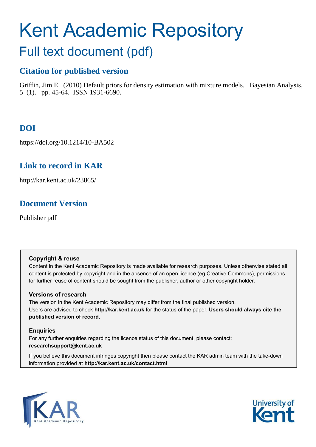# Kent Academic Repository Full text document (pdf)

# **Citation for published version**

Griffin, Jim E. (2010) Default priors for density estimation with mixture models. Bayesian Analysis, 5 (1). pp. 45-64. ISSN 1931-6690.

# **DOI**

https://doi.org/10.1214/10-BA502

# **Link to record in KAR**

http://kar.kent.ac.uk/23865/

# **Document Version**

Publisher pdf

# **Copyright & reuse**

Content in the Kent Academic Repository is made available for research purposes. Unless otherwise stated all content is protected by copyright and in the absence of an open licence (eg Creative Commons), permissions for further reuse of content should be sought from the publisher, author or other copyright holder.

# **Versions of research**

The version in the Kent Academic Repository may differ from the final published version. Users are advised to check **http://kar.kent.ac.uk** for the status of the paper. **Users should always cite the published version of record.**

# **Enquiries**

For any further enquiries regarding the licence status of this document, please contact: **researchsupport@kent.ac.uk**

If you believe this document infringes copyright then please contact the KAR admin team with the take-down information provided at **http://kar.kent.ac.uk/contact.html**



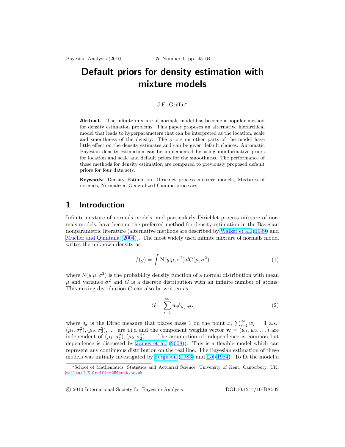# Default priors for density estimation with mixture models

#### J.E. Griffin<sup>∗</sup>

Abstract. The infinite mixture of normals model has become a popular method for density estimation problems. This paper proposes an alternative hierarchical model that leads to hyperparameters that can be interpreted as the location, scale and smoothness of the density. The priors on other parts of the model have little effect on the density estimates and can be given default choices. Automatic Bayesian density estimation can be implemented by using uninformative priors for location and scale and default priors for the smoothness. The performance of these methods for density estimation are compared to previously proposed default priors for four data sets.

Keywords: Density Estimation, Dirichlet process mixture models, Mixtures of normals, Normalized Generalized Gamma processes

# 1 Introduction

Infinite mixture of normals models, and particularly Dirichlet process mixture of normals models, have become the preferred method for density estimation in the Bayesian nonparametric literature (alternative methods are described by Walker et al. (1999) and Mueller and Quintana (2004)). The most widely used infinite mixture of normals model writes the unknown density as

$$
f(y) = \int \mathcal{N}(y|\mu, \sigma^2) dG(\mu, \sigma^2)
$$
 (1)

where  $N(y|\mu, \sigma^2)$  is the probability density function of a normal distribution with mean  $\mu$  and variance  $\sigma^2$  and G is a discrete distribution with an infinite number of atoms. This mixing distribution  $G$  can also be written as

$$
G = \sum_{i=1}^{\infty} w_i \delta_{\mu_i, \sigma_i^2}.
$$
 (2)

where  $\delta_x$  is the Dirac measure that places mass 1 on the point x,  $\sum_{i=1}^{\infty} w_i = 1$  a.s.,  $(\mu_1, \sigma_1^2), (\mu_2, \sigma_2^2), \ldots$  are i.i.d and the component weights vector  $\mathbf{w} = (w_1, w_2, \ldots)$  are independent of  $(\mu_1, \sigma_1^2), (\mu_2, \sigma_2^2), \ldots$  (the assumption of independence is common but dependence is discussed by James et al. (2008)). This is a flexible model which can represent any continuous distribution on the real line. The Bayesian estimation of these models was initially investigated by Ferguson (1983) and Lo (1984). To fit the model a

°c 2010 International Society for Bayesian Analysis DOI:10.1214/10-BA502

<sup>∗</sup>School of Mathematics, Statistics and Actuarial Science, University of Kent, Canterbury, UK, <mailto:J.E.Griffin-28@kent.ac.uk>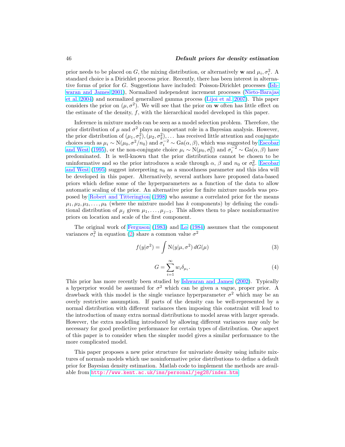#### 46 Default priors for density estimation

prior needs to be placed on G, the mixing distribution, or alternatively **w** and  $\mu_i$ ,  $\sigma_i^2$ . A standard choice is a Dirichlet process prior. Recently, there has been interest in alternative forms of prior for G. Suggestions have included: Poisson-Dirichlet processes (Ishwaran and James 2001), Normalized independent increment processes (Nieto-Barajas et al. 2004) and normalized generalized gamma process (Lijoi et al. 2007). This paper considers the prior on  $(\mu, \sigma^2)$ . We will see that the prior on **w** often has little effect on the estimate of the density, f, with the hierarchical model developed in this paper.

Inference in mixture models can be seen as a model selection problem. Therefore, the prior distribution of  $\mu$  and  $\sigma^2$  plays an important role in a Bayesian analysis. However, the prior distribution of  $(\mu_1, \sigma_1^2), (\mu_2, \sigma_2^2), \ldots$  has received little attention and conjugate choices such as  $\mu_i \sim N(\mu_0, \sigma^2/n_0)$  and  $\sigma_i^{-2} \sim Ga(\alpha, \beta)$ , which was suggested by Escobar and West (1995), or the non-conjugate choice  $\mu_i \sim N(\mu_0, \sigma_0^2)$  and  $\sigma_i^{-2} \sim Ga(\alpha, \beta)$  have predominated. It is well-known that the prior distributions cannot be chosen to be uninformative and so the prior introduces a scale through  $\alpha$ ,  $\beta$  and  $n_0$  or  $\sigma_0^2$ . Escobar and West (1995) suggest interpreting  $n_0$  as a smoothness parameter and this idea will be developed in this paper. Alternatively, several authors have proposed data-based priors which define some of the hyperparameters as a function of the data to allow automatic scaling of the prior. An alternative prior for finite mixture models was proposed by Robert and Titterington (1998) who assume a correlated prior for the means  $\mu_1, \mu_2, \mu_3, \ldots, \mu_k$  (where the mixture model has k components) by defining the conditional distribution of  $\mu_j$  given  $\mu_1,\ldots,\mu_{j-1}$ . This allows them to place noninformative priors on location and scale of the first component.

The original work of Ferguson (1983) and Lo (1984) assumes that the component variances  $\sigma_i^2$  in equation (2) share a common value  $\sigma^2$ 

$$
f(y|\sigma^2) = \int \mathcal{N}(y|\mu, \sigma^2) dG(\mu)
$$
 (3)

$$
G = \sum_{i=1}^{\infty} w_i \delta_{\mu_i}.
$$
 (4)

This prior has more recently been studied by Ishwaran and James (2002). Typically a hyperprior would be assumed for  $\sigma^2$  which can be given a vague, proper prior. A drawback with this model is the single variance hyperparameter  $\sigma^2$  which may be an overly restrictive assumption. If parts of the density can be well-represented by a normal distribution with different variances then imposing this constraint will lead to the introduction of many extra normal distributions to model areas with larger spreads. However, the extra modelling introduced by allowing different variances may only be necessary for good predictive performance for certain types of distribution. One aspect of this paper is to consider when the simpler model gives a similar performance to the more complicated model.

This paper proposes a new prior structure for univariate density using infinite mixtures of normals models which use noninformative prior distributions to define a default prior for Bayesian density estimation. Matlab code to implement the methods are available from <http://www.kent.ac.uk/ims/personal/jeg28/index.htm>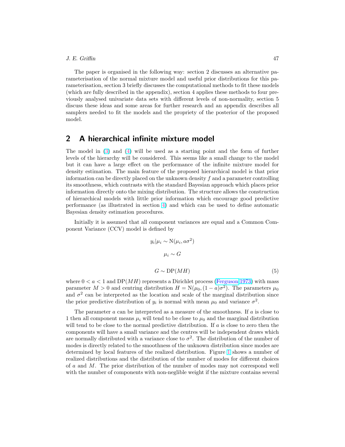#### J. E. Griffin 47

The paper is organised in the following way: section 2 discusses an alternative parameterisation of the normal mixture model and useful prior distributions for this parameterisation, section 3 briefly discusses the computational methods to fit these models (which are fully described in the appendix), section 4 applies these methods to four previously analysed univariate data sets with different levels of non-normality, section 5 discuss these ideas and some areas for further research and an appendix describes all samplers needed to fit the models and the propriety of the posterior of the proposed model.

# 2 A hierarchical infinite mixture model

The model in (3) and (4) will be used as a starting point and the form of further levels of the hierarchy will be considered. This seems like a small change to the model but it can have a large effect on the performance of the infinite mixture model for density estimation. The main feature of the proposed hierarchical model is that prior information can be directly placed on the unknown density  $f$  and a parameter controlling its smoothness, which contrasts with the standard Bayesian approach which places prior information directly onto the mixing distribution. The structure allows the construction of hierarchical models with little prior information which encourage good predictive performance (as illustrated in section 4) and which can be used to define automatic Bayesian density estimation procedures.

Initially it is assumed that all component variances are equal and a Common Component Variance (CCV) model is defined by

$$
y_i|\mu_i \sim \mathcal{N}(\mu_i, a\sigma^2)
$$

$$
\mu_i \sim G
$$

$$
G \sim \mathcal{DP}(MH) \tag{5}
$$

where  $0 < a < 1$  and DP(*MH*) represents a Dirichlet process (Ferguson 1973) with mass parameter  $M > 0$  and centring distribution  $H = N(\mu_0, (1 - a)\sigma^2)$ . The parameters  $\mu_0$ and  $\sigma^2$  can be interpreted as the location and scale of the marginal distribution since the prior predictive distribution of  $y_i$  is normal with mean  $\mu_0$  and variance  $\sigma^2$ .

The parameter  $a$  can be interpreted as a measure of the smoothness. If  $a$  is close to 1 then all component means  $\mu_i$  will tend to be close to  $\mu_0$  and the marginal distribution will tend to be close to the normal predictive distribution. If  $a$  is close to zero then the components will have a small variance and the centres will be independent draws which are normally distributed with a variance close to  $\sigma^2$ . The distribution of the number of modes is directly related to the smoothness of the unknown distribution since modes are determined by local features of the realized distribution. Figure 1 shows a number of realized distributions and the distribution of the number of modes for different choices of a and M. The prior distribution of the number of modes may not correspond well with the number of components with non-neglible weight if the mixture contains several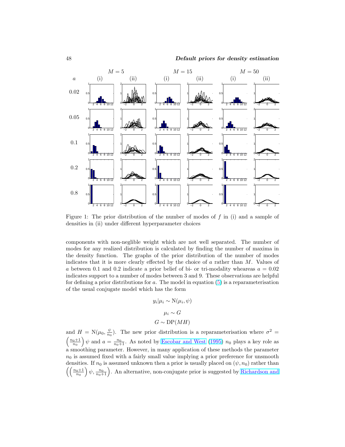

Figure 1: The prior distribution of the number of modes of  $f$  in (i) and a sample of densities in (ii) under different hyperparameter choices

components with non-neglible weight which are not well separated. The number of modes for any realized distribution is calculated by finding the number of maxima in the density function. The graphs of the prior distribution of the number of modes indicates that it is more clearly effected by the choice of  $a$  rather than  $M$ . Values of a between 0.1 and 0.2 indicate a prior belief of bi- or tri-modality wheareas  $a = 0.02$ indicates support to a number of modes between 3 and 9. These observations are helpful for defining a prior distributions for  $a$ . The model in equation  $(5)$  is a reparameterisation of the usual conjugate model which has the form

$$
y_i | \mu_i \sim \mathcal{N}(\mu_i, \psi)
$$

$$
\mu_i \sim G
$$

$$
G \sim \text{DP}(MH)
$$

and  $H = N(\mu_0, \frac{\psi}{n_0})$ . The new prior distribution is a reparameterisation where  $\sigma^2 =$  $\left(\frac{n_0+1}{n_0}\right)\psi$  and  $a=\frac{n_0}{n_0+1}$ . As noted by Escobar and West (1995)  $n_0$  plays a key role as a smoothing parameter. However, in many application of these methods the parameter  $n_0$  is assumed fixed with a fairly small value implying a prior preference for unsmooth densities. If  $n_0$  is assumed unknown then a prior is usually placed on  $(\psi, n_0)$  rather than  $\left(\left(\frac{n_0+1}{n_0}\right)\psi,\frac{n_0}{n_0+1}\right)$ . An alternative, non-conjugate prior is suggested by Richardson and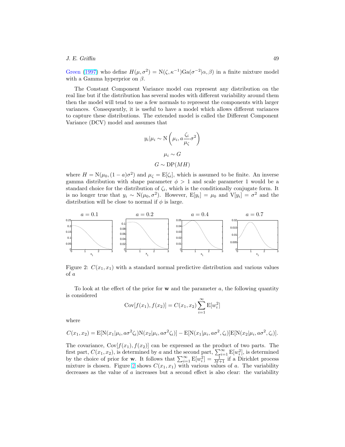#### J. E. Griffin 49

Green (1997) who define  $H(\mu, \sigma^2) = N(\zeta, \kappa^{-1})\text{Ga}(\sigma^{-2}|\alpha, \beta)$  in a finite mixture model with a Gamma hyperprior on  $\beta$ .

The Constant Component Variance model can represent any distribution on the real line but if the distribution has several modes with different variability around them then the model will tend to use a few normals to represent the components with larger variances. Consequently, it is useful to have a model which allows different variances to capture these distributions. The extended model is called the Different Component Variance (DCV) model and assumes that

$$
y_i|\mu_i \sim \mathcal{N}\left(\mu_i, a\frac{\zeta_i}{\mu_{\zeta}}\sigma^2\right)
$$

$$
\mu_i \sim G
$$

$$
G \sim \mathcal{D}\mathcal{P}(MH)
$$

where  $H = N(\mu_0, (1 - a)\sigma^2)$  and  $\mu_\zeta = E[\zeta_i]$ , which is assumed to be finite. An inverse gamma distribution with shape parameter  $\phi > 1$  and scale parameter 1 would be a standard choice for the distribution of  $\zeta_i$ , which is the conditionally conjugate form. It is no longer true that  $y_i \sim N(\mu_0, \sigma^2)$ . However,  $E[y_i] = \mu_0$  and  $V[y_i] = \sigma^2$  and the distribution will be close to normal if  $\phi$  is large.



Figure 2:  $C(x_1, x_1)$  with a standard normal predictive distribution and various values of a

To look at the effect of the prior for  $\bf{w}$  and the parameter a, the following quantity is considered

$$
Cov[f(x_1), f(x_2)] = C(x_1, x_2) \sum_{i=1}^{\infty} E[w_i^2]
$$

where

$$
C(x_1, x_2) = \mathbb{E}[\mathcal{N}(x_1|\mu_i, a\sigma^2\zeta_i)\mathcal{N}(x_2|\mu_i, a\sigma^2\zeta_i)] - \mathbb{E}[\mathcal{N}(x_1|\mu_i, a\sigma^2, \zeta_i)]\mathbb{E}[\mathcal{N}(x_2|\mu_i, a\sigma^2, \zeta_i)].
$$

The covariance,  $Cov[f(x_1),f(x_2)]$  can be expressed as the product of two parts. The first part,  $C(x_1, x_2)$ , is determined by a and the second part,  $\sum_{i=1}^{\infty} \mathbb{E}[w_i^2]$ , is determined by the choice of prior for **w**. It follows that  $\sum_{i=1}^{\infty} E[w_i^2] = \frac{1}{M+1}$  if a Dirichlet process mixture is chosen. Figure 2 shows  $C(x_1, x_1)$  with various values of a. The variability decreases as the value of a increases but a second effect is also clear: the variability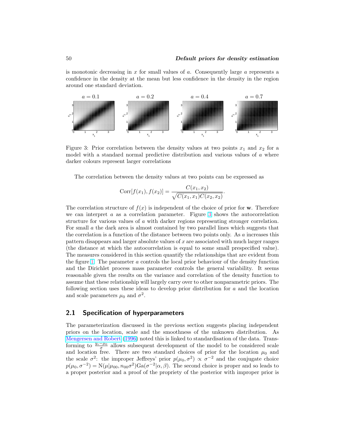is monotonic decreasing in  $x$  for small values of  $a$ . Consequently large  $a$  represents a confidence in the density at the mean but less confidence in the density in the region around one standard deviation.



Figure 3: Prior correlation between the density values at two points  $x_1$  and  $x_2$  for a model with a standard normal predictive distribution and various values of a where darker colours represent larger correlations

The correlation between the density values at two points can be expressed as

Corr
$$
[f(x_1), f(x_2)] = \frac{C(x_1, x_2)}{\sqrt{C(x_1, x_1)C(x_2, x_2)}}
$$
.

The correlation structure of  $f(x)$  is independent of the choice of prior for w. Therefore we can interpret  $a$  as a correlation parameter. Figure 3 shows the autocorrelation structure for various values of a with darker regions representing stronger correlation. For small a the dark area is almost contained by two parallel lines which suggests that the correlation is a function of the distance between two points only. As a increases this pattern disappears and larger absolute values of  $x$  are associated with much larger ranges (the distance at which the autocorrelation is equal to some small prespecified value). The measures considered in this section quantify the relationships that are evident from the figure 1. The parameter a controls the local prior behaviour of the density function and the Dirichlet process mass parameter controls the general variability. It seems reasonable given the results on the variance and correlation of the density function to assume that these relationship will largely carry over to other nonparametric priors. The following section uses these ideas to develop prior distribution for  $a$  and the location and scale parameters  $\mu_0$  and  $\sigma^2$ .

## 2.1 Specification of hyperparameters

The parameterization discussed in the previous section suggests placing independent priors on the location, scale and the smoothness of the unknown distribution. As Mengersen and Robert (1996) noted this is linked to standardisation of the data. Transforming to  $\frac{y_i-\mu_0}{\sigma}$  allows subsequent development of the model to be considered scale and location free. There are two standard choices of prior for the location  $\mu_0$  and the scale  $\sigma^2$ : the improper Jeffreys' prior  $p(\mu_0, \sigma^2) \propto \sigma^{-2}$  and the conjugate choice  $p(\mu_0, \sigma^{-2}) = N(\mu | \mu_{00}, n_{00}\sigma^2) \text{Ga}(\sigma^{-2} | \alpha, \beta)$ . The second choice is proper and so leads to a proper posterior and a proof of the propriety of the posterior with improper prior is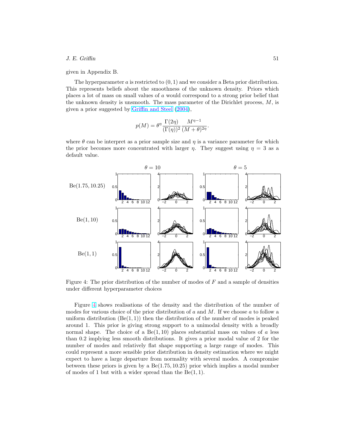#### $J. E. \text{Griffin}$  51

given in Appendix B.

The hyperparameter a is restricted to  $(0, 1)$  and we consider a Beta prior distribution. This represents beliefs about the smoothness of the unknown density. Priors which places a lot of mass on small values of a would correspond to a strong prior belief that the unknown density is unsmooth. The mass parameter of the Dirichlet process,  $M$ , is given a prior suggested by Griffin and Steel (2004),

$$
p(M) = \theta^{\eta} \frac{\Gamma(2\eta)}{(\Gamma(\eta))^2} \frac{M^{\eta-1}}{(M+\theta)^{2\eta}}.
$$

where  $\theta$  can be interpret as a prior sample size and  $\eta$  is a variance parameter for which the prior becomes more concentrated with larger  $\eta$ . They suggest using  $\eta = 3$  as a default value.



Figure 4: The prior distribution of the number of modes of  $F$  and a sample of densities under different hyperparameter choices

Figure 4 shows realisations of the density and the distribution of the number of modes for various choice of the prior distribution of  $a$  and  $M$ . If we choose  $a$  to follow a uniform distribution  $(Be(1, 1))$  then the distribution of the number of modes is peaked around 1. This prior is giving strong support to a unimodal density with a broadly normal shape. The choice of a  $Be(1, 10)$  places substantial mass on values of a less than 0.2 implying less smooth distributions. It gives a prior modal value of 2 for the number of modes and relatively flat shape supporting a large range of modes. This could represent a more sensible prior distribution in density estimation where we might expect to have a large departure from normality with several modes. A compromise between these priors is given by a Be(1.75, 10.25) prior which implies a modal number of modes of 1 but with a wider spread than the  $Be(1, 1)$ .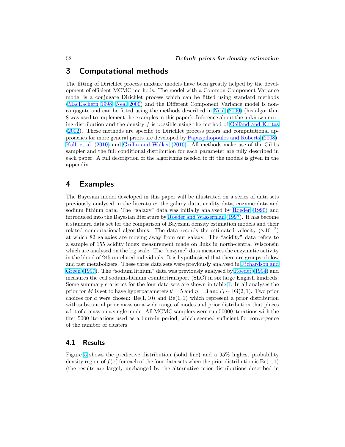# 3 Computational methods

The fitting of Dirichlet process mixture models have been greatly helped by the development of efficient MCMC methods. The model with a Common Component Variance model is a conjugate Dirichlet process which can be fitted using standard methods (MacEachern 1998; Neal 2000) and the Different Component Variance model is nonconjugate and can be fitted using the methods described in Neal (2000) (his algorithm 8 was used to implement the examples in this paper). Inference about the unknown mixing distribution and the density  $f$  is possible using the method of Gelfand and Kottas (2002). These methods are specific to Dirichlet process priors and computational approaches for more general priors are developed by Papaspiliopoulos and Roberts (2008), Kalli et al. (2010) and Griffin and Walker (2010). All methods make use of the Gibbs sampler and the full conditional distribution for each parameter are fully described in each paper. A full description of the algorithms needed to fit the models is given in the appendix.

# 4 Examples

The Bayesian model developed in this paper will be illustrated on a series of data sets previously analysed in the literature: the galaxy data, acidity data, enzyme data and sodium lithium data. The "galaxy" data was initially analysed by Roeder (1990) and introduced into the Bayesian literature by Roeder and Wasserman (1997). It has become a standard data set for the comparison of Bayesian density estimation models and their related computational algorithms. The data records the estimated velocity  $(\times 10^{-2})$ at which 82 galaxies are moving away from our galaxy. The "acidity" data refers to a sample of 155 acidity index measurement made on links in north-central Wisconsin which are analysed on the log scale. The "enzyme" data measures the enzymatic activity in the blood of 245 unrelated individuals. It is hypothesised that there are groups of slow and fast metabolizers. These three data sets were previously analysed in Richardson and Green (1997). The "sodium lithium" data was previously analysed by Roeder (1994) and measures the cell sodium-lithium countertransport (SLC) in six large English kindreds. Some summary statistics for the four data sets are shown in table 1. In all analyses the prior for M is set to have hyperparameters  $\theta = 5$  and  $\eta = 3$  and  $\zeta_i \sim IG(2, 1)$ . Two prior choices for a were chosen:  $Be(1, 10)$  and  $Be(1, 1)$  which represent a prior distribution with substantial prior mass on a wide range of modes and prior distribution that places a lot of a mass on a single mode. All MCMC samplers were run 50000 iterations with the first 5000 iterations used as a burn-in period, which seemed sufficient for convergence of the number of clusters.

## 4.1 Results

Figure 5 shows the predictive distribution (solid line) and a 95% highest probability density region of  $f(x)$  for each of the four data sets when the prior distribution is  $Be(1, 1)$ (the results are largely unchanged by the alternative prior distributions described in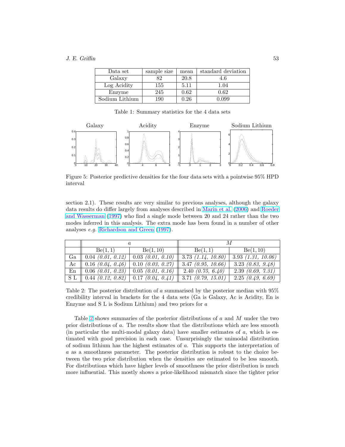#### $J. E. \text{Griffin}$  53

| Data set       | sample size | mean | standard deviation |
|----------------|-------------|------|--------------------|
| Galaxy         | 82          | 20.8 | 4.6                |
| Log Acidity    | 155         | 5.11 | 1.04               |
| Enzyme         | 245         | 0.62 | 0.62               |
| Sodium Lithium | 190         | 0.26 | 0.099              |

Table 1: Summary statistics for the 4 data sets



Figure 5: Posterior predictive densities for the four data sets with a pointwise 95% HPD interval

section 2.1). These results are very similar to previous analyses, although the galaxy data results do differ largely from analyses described in Marin et al. (2006) and Roeder and Wasserman (1997) who find a single mode between 20 and 24 rather than the two modes inferred in this analysis. The extra mode has been found in a number of other analyses e.g. Richardson and Green (1997).

| a                                      |                     |                                                                          |                                |  |
|----------------------------------------|---------------------|--------------------------------------------------------------------------|--------------------------------|--|
| Be(1,1)                                | Be(1, 10)           | Be(1,1)                                                                  | Be(1, 10)                      |  |
| $\boxed{\text{Ga}$   0.04 (0.01, 0.12) |                     | $0.03$ (0.01, 0.10)   3.73 (1.14, 10.80)                                 | $3.93$ $(1.31, 10.06)$         |  |
| $\overline{Ac}$    0.16 (0.04, 0.46)   | $0.10$ (0.03, 0.27) | $3.47 \; (0.95, 10.66)$                                                  | $\overline{3.23}$ (0.83, 9.48) |  |
| En    $0.06$ (0.01, 0.23)              |                     | $0.05$ (0.01, 0.16)   2.40 (0.75, 6.40)                                  | 2.39(0.69, 7.31)               |  |
|                                        |                     | S L    0.44 $(0.12, 0.82)$   0.17 $(0.04, 0.41)$    3.71 $(0.79, 15.01)$ | $\sqrt{2.25}$ (0.49, 6.69)     |  |

Table 2: The posterior distribution of a summarised by the posterior median with 95% credibility interval in brackets for the 4 data sets (Ga is Galaxy, Ac is Acidity, En is Enzyme and S L is Sodium Lithium) and two priors for a

Table 2 shows summaries of the posterior distributions of a and M under the two prior distributions of a. The results show that the distributions which are less smooth (in particular the multi-modal galaxy data) have smaller estimates of  $a$ , which is estimated with good precision in each case. Unsurprisingly the unimodal distribution of sodium lithium has the highest estimates of a. This supports the interpretation of a as a smoothness parameter. The posterior distribution is robust to the choice between the two prior distribution when the densities are estimated to be less smooth. For distributions which have higher levels of smoothness the prior distribution is much more influential. This mostly shows a prior-likelihood mismatch since the tighter prior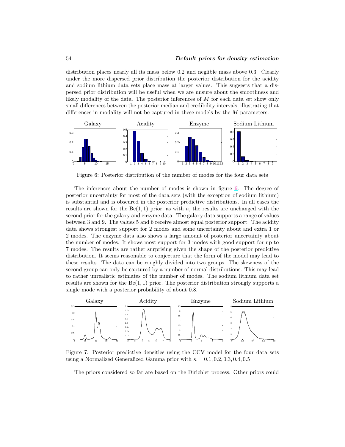distribution places nearly all its mass below 0.2 and neglible mass above 0.3. Clearly under the more dispersed prior distribution the posterior distribution for the acidity and sodium lithium data sets place mass at larger values. This suggests that a dispersed prior distribution will be useful when we are unsure about the smoothness and likely modality of the data. The posterior inferences of M for each data set show only small differences between the posterior median and credibility intervals, illustrating that differences in modality will not be captured in these models by the M parameters.



Figure 6: Posterior distribution of the number of modes for the four data sets

The inferences about the number of modes is shown in figure 6. The degree of posterior uncertainty for most of the data sets (with the exception of sodium lithium) is substantial and is obscured in the posterior predictive distributions. In all cases the results are shown for the  $Be(1, 1)$  prior, as with a, the results are unchanged with the second prior for the galaxy and enzyme data. The galaxy data supports a range of values between 3 and 9. The values 5 and 6 receive almost equal posterior support. The acidity data shows strongest support for 2 modes and some uncertainty about and extra 1 or 2 modes. The enzyme data also shows a large amount of posterior uncertainty about the number of modes. It shows most support for 3 modes with good support for up to 7 modes. The results are rather surprising given the shape of the posterior predictive distribution. It seems reasonable to conjecture that the form of the model may lead to these results. The data can be roughly divided into two groups. The skewness of the second group can only be captured by a number of normal distributions. This may lead to rather unrealistic estimates of the number of modes. The sodium lithium data set results are shown for the  $Be(1, 1)$  prior. The posterior distribution strongly supports a single mode with a posterior probability of about 0.8.



Figure 7: Posterior predictive densities using the CCV model for the four data sets using a Normalized Generalized Gamma prior with  $\kappa = 0.1, 0.2, 0.3, 0.4, 0.5$ 

The priors considered so far are based on the Dirichlet process. Other priors could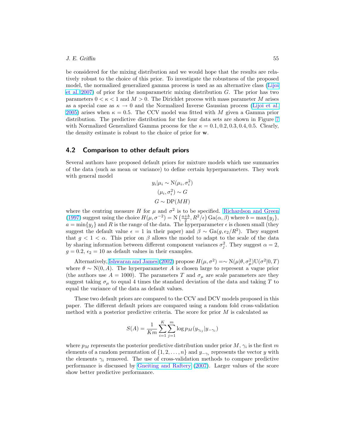#### J. E. Griffin 55

be considered for the mixing distribution and we would hope that the results are relatively robust to the choice of this prior. To investigate the robustness of the proposed model, the normalized generalized gamma process is used as an alternative class (Lijoi et al.  $2007$ ) of prior for the nonparametric mixing distribution G. The prior has two parameters  $0 < \kappa < 1$  and  $M > 0$ . The Dirichlet process with mass parameter M arises as a special case as  $\kappa \to 0$  and the Normalized Inverse Gaussian process (Lijoi et al. 2005) arises when  $\kappa = 0.5$ . The CCV model was fitted with M given a Gamma prior distribution. The predictive distribution for the four data sets are shown in Figure 7 with Normalized Generalized Gamma process for the  $\kappa = 0.1, 0.2, 0.3, 0.4, 0.5$ . Clearly, the density estimate is robust to the choice of prior for w.

#### 4.2 Comparison to other default priors

Several authors have proposed default priors for mixture models which use summaries of the data (such as mean or variance) to define certain hyperparameters. They work with general model

$$
y_i | \mu_i \sim \mathcal{N}(\mu_i, \sigma_i^2)
$$

$$
(\mu_i, \sigma_i^2) \sim G
$$

$$
G \sim \mathcal{DP}(MH)
$$

where the centring measure H for  $\mu$  and  $\sigma^2$  is to be specified. Richardson and Green (1997) suggest using the choice  $H(\mu, \sigma^{-2}) = N\left(\frac{a+b}{2}, R^2/\epsilon\right)$  Ga $(\alpha, \beta)$  where  $b = \max\{y_j\},$  $a = \min\{y_i\}$  and R is the range of the data. The hyperparameter  $\epsilon$  is chosen small (they suggest the default value  $\epsilon = 1$  in their paper) and  $\beta \sim \text{Ga}(g, \epsilon_2/R^2)$ . They suggest that  $g < 1 < \alpha$ . This prior on  $\beta$  allows the model to adapt to the scale of the data by sharing information between different component variances  $\sigma_j^2$ . They suggest  $\alpha = 2$ ,  $g = 0.2$ ,  $\epsilon_2 = 10$  as default values in their examples.

Alternatively, Ishwaran and James (2002) propose  $H(\mu, \sigma^2) = \sim N(\mu|\theta, \sigma^2) U(\sigma^2|0, T)$ where  $\theta \sim N(0, A)$ . The hyperparameter A is chosen large to represent a vague prior (the authors use  $A = 1000$ ). The parameters T and  $\sigma_u$  are scale parameters are they suggest taking  $\sigma_{\mu}$  to equal 4 times the standard deviation of the data and taking T to equal the variance of the data as default values.

These two default priors are compared to the CCV and DCV models proposed in this paper. The different default priors are compared using a random fold cross-validation method with a posterior predictive criteria. The score for prior M is calculated as

$$
S(A) = \frac{1}{Km} \sum_{i=1}^{K} \sum_{j=1}^{m} \log p_M(y_{\gamma_{ij}} | y_{-\gamma_i})
$$

where  $p_M$  represents the posterior predictive distribution under prior  $M$ ,  $\gamma_i$  is the first m elements of a random permutation of  $\{1, 2, \ldots, n\}$  and  $y_{-\gamma_i}$  represents the vector y with the elements  $\gamma_i$  removed. The use of cross-validation methods to compare predictive performance is discussed by Gneiting and Raftery (2007). Larger values of the score show better predictive performance.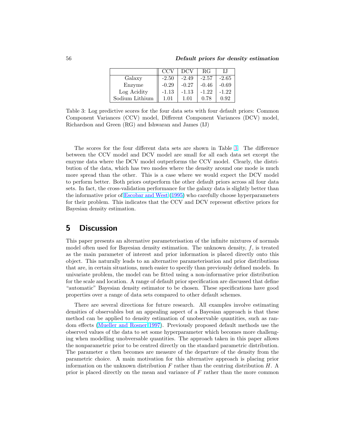|                | CC      | DCV     | RG      |         |
|----------------|---------|---------|---------|---------|
| Galaxy         | $-2.50$ | $-2.49$ | $-2.57$ | $-2.65$ |
| Enzyme         | $-0.29$ | $-0.27$ | $-0.46$ | $-0.69$ |
| Log Acidity    | -1.13   | $-1.13$ | $-1.22$ | $-1.22$ |
| Sodium Lithium | 1.01    | 1.01    | 0.78    | 0.92    |

Table 3: Log predictive scores for the four data sets with four default priors: Common Component Variances (CCV) model, Different Component Variances (DCV) model, Richardson and Green (RG) and Ishwaran and James (IJ)

The scores for the four different data sets are shown in Table 3. The difference between the CCV model and DCV model are small for all each data set except the enzyme data where the DCV model outperforms the CCV model. Clearly, the distribution of the data, which has two modes where the density around one mode is much more spread than the other. This is a case where we would expect the DCV model to perform better. Both priors outperform the other default priors across all four data sets. In fact, the cross-validation performance for the galaxy data is slightly better than the informative prior of Escobar and West (1995) who carefully choose hyperparameters for their problem. This indicates that the CCV and DCV represent effective priors for Bayesian density estimation.

# 5 Discussion

This paper presents an alternative parameterisation of the infinite mixtures of normals model often used for Bayesian density estimation. The unknown density,  $f$ , is treated as the main parameter of interest and prior information is placed directly onto this object. This naturally leads to an alternative parameterisation and prior distributions that are, in certain situations, much easier to specify than previously defined models. In univariate problem, the model can be fitted using a non-informative prior distribution for the scale and location. A range of default prior specification are discussed that define "automatic" Bayesian density estimator to be chosen. These specifications have good properties over a range of data sets compared to other default schemes.

There are several directions for future research. All examples involve estimating densities of observables but an appealing aspect of a Bayesian approach is that these method can be applied to density estimation of unobservable quantities, such as random effects (Mueller and Rosner 1997). Previously proposed default methods use the observed values of the data to set some hyperparameter which becomes more challenging when modelling unobversable quantities. The approach taken in this paper allows the nonparametric prior to be centred directly on the standard parametric distribution. The parameter a then becomes are measure of the departure of the density from the parametric choice. A main motivation for this alternative approach is placing prior information on the unknown distribution  $F$  rather than the centring distribution  $H$ . A prior is placed directly on the mean and variance of  $F$  rather than the more common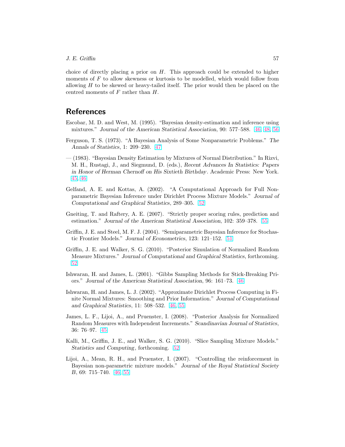choice of directly placing a prior on  $H$ . This approach could be extended to higher moments of  $F$  to allow skewness or kurtosis to be modelled, which would follow from allowing  $H$  to be skewed or heavy-tailed itself. The prior would then be placed on the centred moments of F rather than H.

# **References**

- Escobar, M. D. and West, M. (1995). "Bayesian density-estimation and inference using mixtures." Journal of the American Statistical Association, 90: 577–588. 46, 48, 56
- Ferguson, T. S. (1973). "A Bayesian Analysis of Some Nonparametric Problems." The Annals of Statistics, 1: 209–230. 47
- (1983). "Bayesian Density Estimation by Mixtures of Normal Distribution." In Rizvi, M. H., Rustagi, J., and Siegmund, D. (eds.), Recent Advances In Statistics: Papers in Honor of Herman Chernoff on His Sixtieth Birthday. Academic Press: New York. 45, 46
- Gelfand, A. E. and Kottas, A. (2002). "A Computational Approach for Full Nonparametric Bayesian Inference under Dirichlet Process Mixture Models." Journal of Computational and Graphical Statistics, 289–305. 52
- Gneiting, T. and Raftery, A. E. (2007). "Strictly proper scoring rules, prediction and estimation." Journal of the American Statistical Association, 102: 359–378. 55
- Griffin, J. E. and Steel, M. F. J. (2004). "Semiparametric Bayesian Inference for Stochastic Frontier Models." Journal of Econometrics, 123: 121–152. 51
- Griffin, J. E. and Walker, S. G. (2010). "Posterior Simulation of Normalized Random Measure Mixtures." Journal of Computational and Graphical Statistics, forthcoming. 52
- Ishwaran, H. and James, L. (2001). "Gibbs Sampling Methods for Stick-Breaking Priors." Journal of the American Statistical Association, 96: 161–73. 46
- Ishwaran, H. and James, L. J. (2002). "Approximate Dirichlet Process Computing in Finite Normal Mixtures: Smoothing and Prior Information." Journal of Computational and Graphical Statistics, 11: 508–532. 46, 55
- James, L. F., Lijoi, A., and Pruenster, I. (2008). "Posterior Analysis for Normalized Random Measures with Independent Increments." Scandinavian Journal of Statistics, 36: 76–97. 45
- Kalli, M., Griffin, J. E., and Walker, S. G. (2010). "Slice Sampling Mixture Models." Statistics and Computing, forthcoming. 52
- Lijoi, A., Mean, R. H., and Pruenster, I. (2007). "Controlling the reinforcement in Bayesian non-parametric mixture models." Journal of the Royal Statistical Society B, 69: 715–740. 46, 55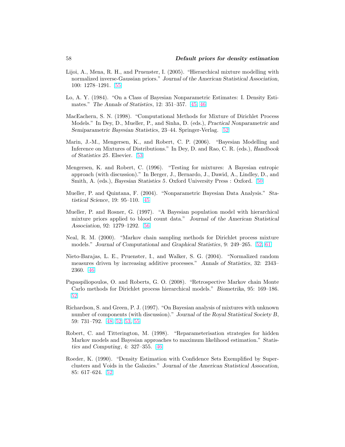- Lijoi, A., Mena, R. H., and Pruenster, I. (2005). "Hierarchical mixture modelling with normalized inverse-Gaussian priors." Journal of the American Statistical Association, 100: 1278–1291. 55
- Lo, A. Y. (1984). "On a Class of Bayesian Nonparametric Estimates: I. Density Estimates." The Annals of Statistics, 12: 351–357. 45, 46
- MacEachern, S. N. (1998). "Computational Methods for Mixture of Dirichlet Process Models." In Dey, D., Mueller, P., and Sinha, D. (eds.), Practical Nonparametric and Semiparametric Bayesian Statistics, 23–44. Springer-Verlag. 52
- Marin, J.-M., Mengersen, K., and Robert, C. P. (2006). "Bayesian Modelling and Inference on Mixtures of Distributions." In Dey, D. and Rao, C. R. (eds.), Handbook of Statistics 25. Elsevier. 53
- Mengersen, K. and Robert, C. (1996). "Testing for mixtures: A Bayesian entropic approach (with discussion)." In Berger, J., Bernardo, J., Dawid, A., Lindley, D., and Smith, A. (eds.), Bayesian Statistics 5. Oxford University Press : Oxford. 50
- Mueller, P. and Quintana, F. (2004). "Nonparametric Bayesian Data Analysis." Statistical Science, 19: 95–110. 45
- Mueller, P. and Rosner, G. (1997). "A Bayesian population model with hierarchical mixture priors applied to blood count data." Journal of the American Statistical Association, 92: 1279–1292. 56
- Neal, R. M. (2000). "Markov chain sampling methods for Dirichlet process mixture models." Journal of Computational and Graphical Statistics, 9: 249–265. 52, 61
- Nieto-Barajas, L. E., Pruenster, I., and Walker, S. G. (2004). "Normalized random measures driven by increasing additive processes." Annals of Statistics, 32: 2343– 2360. 46
- Papaspiliopoulos, O. and Roberts, G. O. (2008). "Retrospective Markov chain Monte Carlo methods for Dirichlet process hierarchical models." Biometrika, 95: 169–186. 52
- Richardson, S. and Green, P. J. (1997). "On Bayesian analysis of mixtures with unknown number of components (with discussion)." Journal of the Royal Statistical Society B, 59: 731–792. 48, 52, 53, 55
- Robert, C. and Titterington, M. (1998). "Reparameterisation strategies for hidden Markov models and Bayesian approaches to maximum likelihood estimation." Statistics and Computing, 4: 327–355. 46
- Roeder, K. (1990). "Density Estimation with Confidence Sets Exemplified by Superclusters and Voids in the Galaxies." Journal of the American Statistical Assocation, 85: 617–624. 52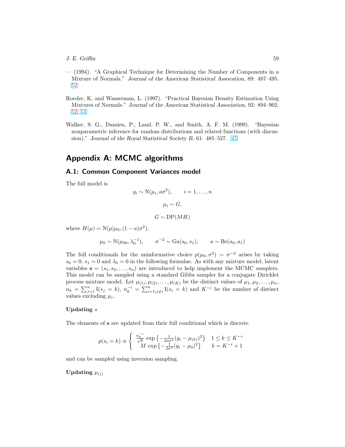- (1994). "A Graphical Technique for Determining the Number of Components in a Mixture of Normals." Journal of the American Statistical Assocation, 89: 487–495. 52
- Roeder, K. and Wasserman, L. (1997). "Practical Bayesian Density Estimation Using Mixtures of Normals." Journal of the American Statistical Association, 92: 894–902. 52, 53
- Walker, S. G., Damien, P., Laud, P. W., and Smith, A. F. M. (1999). "Bayesian nonparametric inference for random distributions and related functions (with discussion)." Journal of the Royal Statistical Society B, 61: 485–527. 45

# Appendix A: MCMC algorithms

# A.1: Common Component Variances model

The full model is

$$
y_i \sim N(\mu_i, a\sigma^2), \qquad i = 1, ..., n
$$
  
 $\mu_i \sim G,$   
 $G \sim DP(MH)$ 

where  $H(\mu) = N(\mu | \mu_0, (1 - a)\sigma^2),$ 

$$
\mu_0 \sim N(\mu_{00}, \lambda_0^{-1}), \qquad \sigma^{-2} \sim Ga(s_0, s_1), \qquad a \sim Be(a_0, a_1)
$$

The full conditionals for the uninformative choice  $p(\mu_0, \sigma^2) \sim \sigma^{-2}$  arises by taking  $s_0 = 0$ ,  $s_1 = 0$  and  $\lambda_0 = 0$  in the following formulae. As with any mixture model, latent variables  $\mathbf{s} = (s_1, s_2, \dots, s_n)$  are introduced to help implement the MCMC samplers. This model can be sampled using a standard Gibbs sampler for a conjugate Dirichlet process mixture model. Let  $\mu_{(1)}, \mu_{(2)}, \ldots, \mu_{(K)}$  be the distinct values of  $\mu_1, \mu_2, \ldots, \mu_n$ ,  $n_k = \sum_{j=1}^n I(s_j = k), n_k^{-i} = \sum_{i=1; j \neq i}^n I(s_i = k)$  and  $K^{-i}$  be the number of distinct values excluding  $\mu_i$ .

#### Updating s

The elements of s are updated from their full conditional which is discrete

$$
p(s_i = k) \propto \begin{cases} \frac{n_i^{-i}}{\sqrt{a}} \exp \left\{ -\frac{1}{2a\sigma^2} (y_i - \mu_{(k)})^2 \right\} & 1 \le k \le K^{-i} \\ M \exp \left\{ -\frac{1}{2\sigma^2} (y_i - \mu_0)^2 \right\} & k = K^{-i} + 1 \end{cases}
$$

and can be sampled using inversion sampling.

# Updating  $\mu_{(i)}$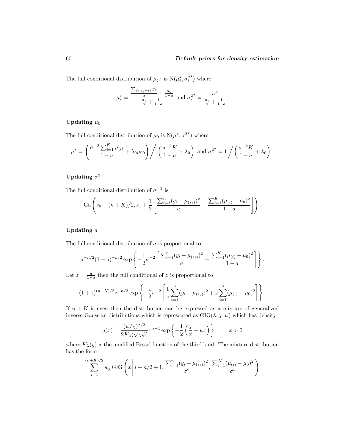The full conditional distribution of  $\mu_{(i)}$  is  $N(\mu_i^*, \sigma_i^2)$  $\star$ ) where

$$
\mu_i^* = \frac{\frac{\sum_{\{j \mid s_j = i\}} y_j}{a} + \frac{\mu_0}{1 - a}}{\frac{n_i}{a} + \frac{1}{1 - a}} \text{ and } \sigma_i^{2^*} = \frac{\sigma^2}{\frac{n_i}{a} + \frac{1}{1 - a}}.
$$

## Updating  $\mu_0$

The full conditional distribution of  $\mu_0$  is  $N(\mu^*, \sigma^{2^*})$  where

$$
\mu^* = \left(\frac{\sigma^{-2} \sum_{i=1}^K \mu(i)}{1-a} + \lambda_0 \mu_{00}\right) \bigg/ \left(\frac{\sigma^{-2} K}{1-a} + \lambda_0\right) \text{ and } \sigma^{2^*} = 1 \bigg/ \left(\frac{\sigma^{-2} K}{1-a} + \lambda_0\right).
$$

## $\rm{Update}$   $\sigma^2$

The full conditional distribution of  $\sigma^{-2}$  is

$$
\mathrm{Ga}\left(s_0 + (n+K)/2, s_1 + \frac{1}{2}\left[\frac{\sum_{i=1}^n (y_i - \mu_{(s_i)})^2}{a} + \frac{\sum_{i=1}^K (\mu_{(i)} - \mu_0)^2}{1-a}\right]\right).
$$

## Updating a

The full conditional distribution of a is proportional to

$$
a^{-n/2}(1-a)^{-k/2} \exp\left\{-\frac{1}{2}\sigma^{-2}\left[\frac{\sum_{i=1}^{n}(y_i-\mu_{(s_i)})^2}{a}+\frac{\sum_{i=1}^{K}(\mu_{(i)}-\mu_0)^2}{1-a}\right]\right\}.
$$

Let  $z = \frac{a}{1-a}$  then the full conditional of z is proportional to

$$
(1+z)^{(n+K)/2}z^{-n/2}\exp\left\{-\frac{1}{2}\sigma^{-2}\left[\frac{1}{z}\sum_{i=1}^n(y_i-\mu_{(s_i)})^2+z\sum_{i=1}^K(\mu_{(i)}-\mu_0)^2\right]\right\}.
$$

If  $n + K$  is even then the distribution can be expressed as a mixture of generalized inverse Gaussian distributions which is represented as  $GIG(\lambda, \chi, \psi)$  which has density

$$
g(x) = \frac{(\psi/\chi)^{\lambda/2}}{2K_{\lambda}(\sqrt{\chi\psi})} x^{\lambda - 1} \exp\left\{-\frac{1}{2}\left(\frac{\chi}{x} + \psi x\right)\right\}, \qquad x > 0
$$

where  $K_{\lambda}(y)$  is the modified Bessel function of the third kind. The mixture distribution has the form

$$
\sum_{j=1}^{(n+K)/2} w_j \, \text{GIG}\left(x \left| j - n/2 + 1, \frac{\sum_{i=1}^n (y_i - \mu_{(s_i)})^2}{\sigma^2}, \frac{\sum_{i=1}^K (\mu_{(i)} - \mu_0)^2}{\sigma^2} \right.\right)
$$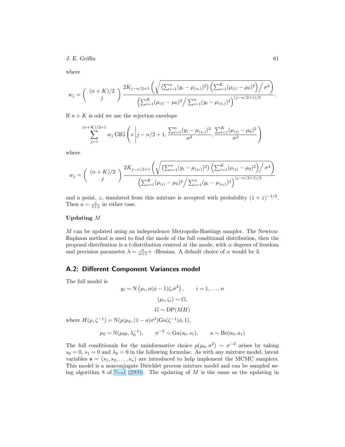$J. E. \text{Griffin}$  61

where

$$
w_j = \left(\begin{array}{c} (n+K)/2 \\ j \end{array}\right) \frac{2K_{j-n/2+1}\left(\sqrt{\left(\sum_{i=1}^n (y_i - \mu_{(s_i)})^2\right)\left(\sum_{i=1}^K (\mu_{(i)} - \mu_0)^2\right)/\sigma^4}\right)}{\left(\sum_{i=1}^K (\mu_{(i)} - \mu_0)^2\right)\sqrt{\sum_{i=1}^n (y_i - \mu_{(s_i)})^2}\right)^{(j-n/2+1)/2}}.
$$

If  $n + K$  is odd we use the rejection envelope

$$
\sum_{j=1}^{(n+K)/2+1} w_j \, \text{GIG}\left(x \left| j - n/2 + 1, \frac{\sum_{i=1}^n (y_i - \mu_{(s_i)})^2}{\sigma^2}, \frac{\sum_{i=1}^K (\mu_{(i)} - \mu_0)^2}{\sigma^2} \right.\right)
$$

where

$$
w_j = { (n+K)/2 \choose j} \frac{2K_{j-n/2+1} \left( \sqrt{\left(\sum_{i=1}^n (y_i - \mu_{(s_i)})^2\right) \left(\sum_{i=1}^K (\mu_{(i)} - \mu_0)^2\right) / \sigma^4} \right) \over \left(\sum_{i=1}^K (\mu_{(i)} - \mu_0)^2 / \sum_{i=1}^n (y_i - \mu_{(s_i)})^2 \right)^{(j-n/2+1)/2}}
$$

and a point, z, simulated from this mixture is accepted with probability  $(1 + z)^{-1/2}$ . Then  $a = \frac{z}{1+z}$  in either case.

#### Updating M

M can be updated using an independence Metropolis-Hastings sampler. The Newton-Raphson method is used to find the mode of the full conditional distribution, then the proposal distribution is a t-distribution centred at the mode, with  $\alpha$  degrees of freedom and precision parameter  $\lambda = \frac{\alpha}{\alpha + 1} \times$  -Hessian. A default choice of  $\alpha$  would be 3.

#### A.2: Different Component Variances model

The full model is

$$
y_i \sim N(\mu_i, a(\phi - 1)\zeta_i \sigma^2), \qquad i = 1, ..., n
$$
  
 $(\mu_i, \zeta_i) \sim G,$   
 $G \sim DP(MH)$ 

where  $H(\mu, \zeta^{-1}) = N(\mu | \mu_0, (1 - a)\sigma^2) \text{Ga}(\zeta^{-1} | \phi, 1),$ 

$$
\mu_0 \sim N(\mu_{00}, \lambda_0^{-1}), \qquad \sigma^{-2} \sim Ga(s_0, s_1), \qquad a \sim Be(a_0, a_1)
$$

The full conditionals for the uninformative choice  $p(\mu_0, \sigma^2) \sim \sigma^{-2}$  arises by taking  $s_0 = 0$ ,  $s_1 = 0$  and  $\lambda_0 = 0$  in the following formulae. As with any mixture model, latent variables  $\mathbf{s} = (s_1, s_2, \dots, s_n)$  are introduced to help implement the MCMC samplers. This model is a nonconjugate Dirichlet process mixture model and can be sampled using algorithm 8 of Neal  $(2000)$ . The updating of M is the same as the updating in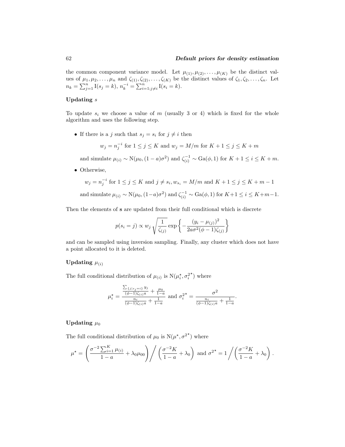.

the common component variance model. Let  $\mu_{(1)}, \mu_{(2)}, \ldots, \mu_{(K)}$  be the distinct values of  $\mu_1, \mu_2, \ldots, \mu_n$  and  $\zeta_{(1)}, \zeta_{(2)}, \ldots, \zeta_{(K)}$  be the distinct values of  $\zeta_1, \zeta_2, \ldots, \zeta_n$ . Let  $n_k = \sum_{j=1}^n \text{I}(s_j = k), n_k^{-i} = \sum_{i=1; j \neq i}^n \text{I}(s_i = k).$ 

#### Updating s

To update  $s_i$  we choose a value of m (usually 3 or 4) which is fixed for the whole algorithm and uses the following step.

• If there is a j such that  $s_j = s_i$  for  $j \neq i$  then

$$
w_j = n_j^{-i}
$$
 for  $1 \le j \le K$  and  $w_j = M/m$  for  $K + 1 \le j \le K + m$ 

and simulate  $\mu_{(i)} \sim N(\mu_0, (1-a)\sigma^2)$  and  $\zeta_{(i)}^{-1} \sim Ga(\phi, 1)$  for  $K + 1 \le i \le K + m$ .

• Otherwise,

$$
w_j = n_j^{-i} \text{ for } 1 \le j \le K \text{ and } j \ne s_i, w_{s_i} = M/m \text{ and } K+1 \le j \le K+m-1
$$
  
and simulate  $\mu_{(i)} \sim N(\mu_0, (1-a)\sigma^2)$  and  $\zeta_{(i)}^{-1} \sim Ga(\phi, 1)$  for  $K+1 \le i \le K+m-1$ .

Then the elements of s are updated from their full conditional which is discrete

$$
p(s_i = j) \propto w_j \sqrt{\frac{1}{\zeta_{(j)}}} \exp \left\{-\frac{(y_i - \mu_{(j)})^2}{2a\sigma^2(\phi - 1)\zeta_{(j)}}\right\}
$$

and can be sampled using inversion sampling. Finally, any cluster which does not have a point allocated to it is deleted.

## Updating  $\mu_{(i)}$

The full conditional distribution of  $\mu_{(i)}$  is  $N(\mu_i^*, \sigma_i^2)$  $\star$ ) where

$$
\mu_i^* = \frac{\frac{\sum_{\{j \mid s_j = i\}} y_j}{(\phi - 1)\zeta_{(i)}a} + \frac{\mu_0}{1 - a}}{\frac{n_i}{(\phi - 1)\zeta_{(i)}a} + \frac{1}{1 - a}} \text{ and } \sigma_i^{2*} = \frac{\sigma^2}{\frac{n_i}{(\phi - 1)\zeta_{(i)}a} + \frac{1}{1 - a}}
$$

#### Updating  $\mu_0$

The full conditional distribution of  $\mu_0$  is  $N(\mu^*, \sigma^{2^*})$  where

$$
\mu^* = \left(\frac{\sigma^{-2} \sum_{i=1}^K \mu_{(i)}}{1-a} + \lambda_0 \mu_{00}\right) \bigg/ \left(\frac{\sigma^{-2} K}{1-a} + \lambda_0\right) \text{ and } \sigma^{2^*} = 1 \bigg/ \left(\frac{\sigma^{-2} K}{1-a} + \lambda_0\right).
$$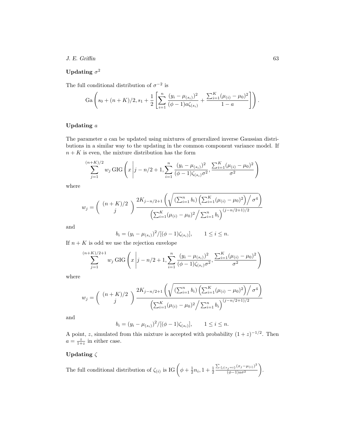#### $J. E. *Griffin*$  63

## $\rm{Update}$   $\sigma^2$

The full conditional distribution of  $\sigma^{-2}$  is

$$
\mathrm{Ga}\left(s_0 + (n+K)/2, s_1 + \frac{1}{2}\left[\sum_{i=1}^n \frac{(y_i - \mu_{(s_i)})^2}{(\phi - 1)a\zeta_{(s_i)}} + \frac{\sum_{i=1}^K (\mu_{(i)} - \mu_0)^2}{1 - a}\right]\right).
$$

## Updating a

The parameter a can be updated using mixtures of generalized inverse Gaussian distributions in a similar way to the updating in the common component variance model. If  $n + K$  is even, the mixture distribution has the form

$$
\sum_{j=1}^{(n+K)/2} w_j \, \text{GIG}\left(x \middle| j - n/2 + 1, \sum_{i=1}^n \frac{(y_i - \mu_{(s_i)})^2}{(\phi - 1)\zeta_{(s_i)}\sigma^2}, \frac{\sum_{i=1}^K (\mu_{(i)} - \mu_0)^2}{\sigma^2}\right)
$$

where

$$
w_j = { (n+K)/2 \choose j} \frac{2K_{j-n/2+1} \left( \sqrt{\left(\sum_{i=1}^n b_i\right) \left(\sum_{i=1}^K (\mu_{(i)} - \mu_0)^2\right) / \sigma^4} \right)}{\left(\sum_{i=1}^K (\mu_{(i)} - \mu_0)^2 / \sum_{i=1}^n b_i\right)^{(j-n/2+1)/2}}
$$

and

$$
b_i = (y_i - \mu_{(s_i)})^2 / [(\phi - 1)\zeta_{(s_i)}], \qquad 1 \le i \le n.
$$

If  $n + K$  is odd we use the rejection envelope

$$
\sum_{j=1}^{(n+K)/2+1} w_j \, \text{GIG}\left(x \middle| j - n/2 + 1, \sum_{i=1}^n \frac{(y_i - \mu_{(s_i)})^2}{(\phi - 1)\zeta_{(s_i)}\sigma^2}, \frac{\sum_{i=1}^K (\mu_{(i)} - \mu_0)^2}{\sigma^2}\right)
$$

where

$$
w_j = { (n+K)/2 \choose j} \frac{2K_{j-n/2+1} \left( \sqrt{\left(\sum_{i=1}^n b_i\right) \left(\sum_{i=1}^K (\mu_{(i)} - \mu_0)^2\right) / \sigma^4} \right)}{\left(\sum_{i=1}^K (\mu_{(i)} - \mu_0)^2 / \sum_{i=1}^n b_i\right)^{(j-n/2+1)/2}}
$$

and

$$
b_i = (y_i - \mu_{(s_i)})^2/[(\phi - 1)\zeta_{(s_i)}], \qquad 1 \le i \le n.
$$

A point, z, simulated from this mixture is accepted with probability  $(1+z)^{-1/2}$ . Then  $a = \frac{z}{1+z}$  in either case.

# Updating  $\zeta$

The full conditional distribution of 
$$
\zeta_{(i)}
$$
 is IG  $\left(\phi + \frac{1}{2}n_i, 1 + \frac{1}{2} \frac{\sum_{\{j \mid s_j = i\}} (x_j - \mu_{(i)})^2}{(\phi - 1) a \sigma^2}\right)$ .